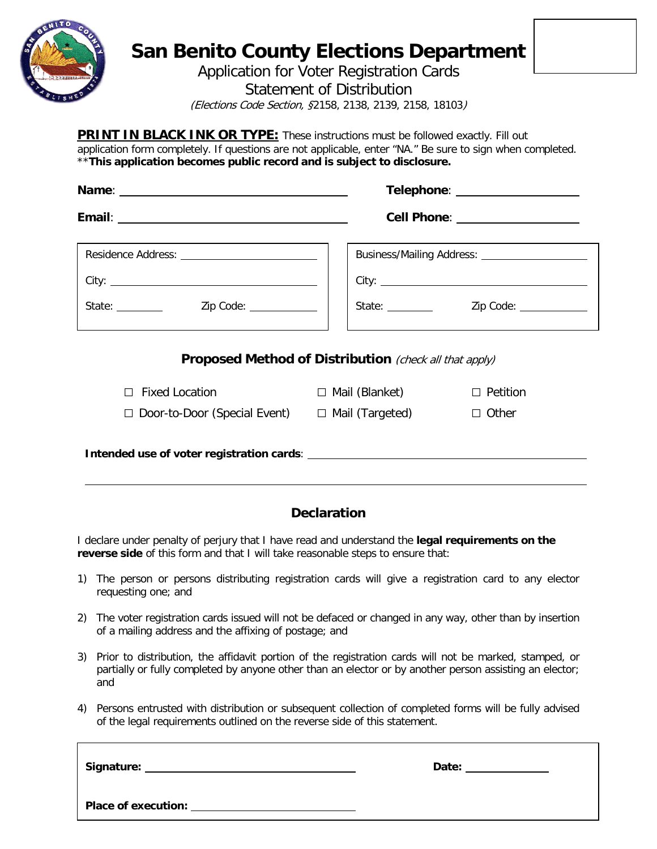

## **San Benito County Elections Department**

Application for Voter Registration Cards

Statement of Distribution

(Elections Code Section, §2158, 2138, 2139, 2158, 18103)

**PRINT IN BLACK INK OR TYPE:** These instructions must be followed exactly. Fill out application form completely. If questions are not applicable, enter "NA." Be sure to sign when completed. \*\***This application becomes public record and is subject to disclosure.**

|                                                            | Telephone: ___________________                                |                                 |  |
|------------------------------------------------------------|---------------------------------------------------------------|---------------------------------|--|
|                                                            |                                                               | Cell Phone: ___________________ |  |
|                                                            | Business/Mailing Address: _____________________               |                                 |  |
|                                                            |                                                               |                                 |  |
| State: <u>Zip Code:</u>                                    |                                                               | State: <u>Zip Code:</u> 2012    |  |
|                                                            | <b>Proposed Method of Distribution</b> (check all that apply) |                                 |  |
| $\Box$ Fixed Location                                      | $\Box$ Mail (Blanket)                                         | $\Box$ Petition                 |  |
| $\Box$ Door-to-Door (Special Event) $\Box$ Mail (Targeted) |                                                               | $\Box$ Other                    |  |
|                                                            |                                                               |                                 |  |

**Intended use of voter registration cards**:

## **Declaration**

I declare under penalty of perjury that I have read and understand the **legal requirements on the reverse side** of this form and that I will take reasonable steps to ensure that:

- 1) The person or persons distributing registration cards will give a registration card to any elector requesting one; and
- 2) The voter registration cards issued will not be defaced or changed in any way, other than by insertion of a mailing address and the affixing of postage; and
- 3) Prior to distribution, the affidavit portion of the registration cards will not be marked, stamped, or partially or fully completed by anyone other than an elector or by another person assisting an elector; and
- 4) Persons entrusted with distribution or subsequent collection of completed forms will be fully advised of the legal requirements outlined on the reverse side of this statement.

**Signature: Date: Place of execution:**